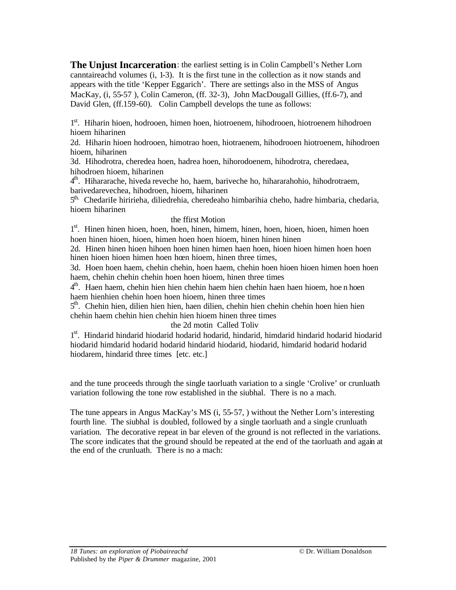**The Unjust Incarceration**: the earliest setting is in Colin Campbell's Nether Lorn canntaireachd volumes (i, 1-3). It is the first tune in the collection as it now stands and appears with the title 'Kepper Eggarich'. There are settings also in the MSS of Angus MacKay, (i, 55-57), Colin Cameron, (ff. 32-3), John MacDougall Gillies, (ff.6-7), and David Glen, (ff.159-60). Colin Campbell develops the tune as follows:

1<sup>st</sup>. Hiharin hioen, hodrooen, himen hoen, hiotroenem, hihodrooen, hiotroenem hihodroen hioem hiharinen

2d. Hiharin hioen hodrooen, himotrao hoen, hiotraenem, hihodrooen hiotroenem, hihodroen hioem, hiharinen

3d. Hihodrotra, cheredea hoen, hadrea hoen, hihorodoenem, hihodrotra, cheredaea, hihodroen hioem, hiharinen

4 th. Hihararache, hiveda reveche ho, haem, bariveche ho, hihararahohio, hihodrotraem, barivedarevechea, hihodroen, hioem, hiharinen

5<sup>th.</sup> ChedariIe hiririeha, diliedrehia, cheredeaho himbarihia cheho, hadre himbaria, chedaria, hioem hiharinen

## the ffirst Motion

1<sup>st</sup>. Hinen hinen hioen, hoen, hoen, hinen, himem, hinen, hoen, hioen, himen hoen hoen hinen hioen, hioen, himen hoen hoen hioem, hinen hinen hinen

2d. Hinen hinen hioen hihoen hoen hinen himen haen hoen, hioen hioen himen hoen hoen hinen hioen hioen himen hoen hoen hioem, hinen three times,

3d. Hoen hoen haem, chehin chehin, hoen haem, chehin hoen hioen hioen himen hoen hoen haem, chehin chehin chehin hoen hoen hioem, hinen three times

4<sup>th</sup>. Haen haem, chehin hien hien chehin haem hien chehin haen haen hioem, hoe n hoen haem hienhien chehin hoen hoen hioem, hinen three times

5<sup>th</sup>. Chehin hien, dilien hien hien, haen dilien, chehin hien chehin chehin hoen hien hien chehin haem chehin hien chehin hien hioem hinen three times

## the 2d motin Called Toliv

1<sup>st</sup>. Hindarid hindarid hiodarid hodarid hodarid, hindarid, himdarid hindarid hodarid hiodarid hiodarid himdarid hodarid hodarid hindarid hiodarid, hiodarid, himdarid hodarid hodarid hiodarem, hindarid three times [etc. etc.]

and the tune proceeds through the single taorluath variation to a single 'Crolive' or crunluath variation following the tone row established in the siubhal. There is no a mach.

The tune appears in Angus MacKay's MS (i, 55-57, ) without the Nether Lorn's interesting fourth line. The siubhal is doubled, followed by a single taorluath and a single crunluath variation. The decorative repeat in bar eleven of the ground is not reflected in the variations. The score indicates that the ground should be repeated at the end of the taorluath and again at the end of the crunluath. There is no a mach: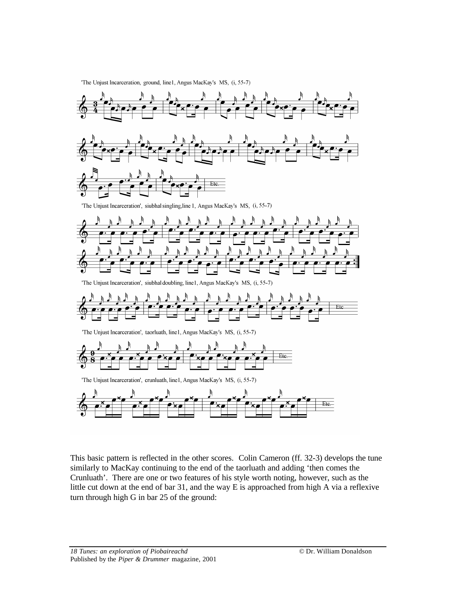'The Unjust Incarceration, ground, line1, Angus MacKay's MS, (i, 55-7)



This basic pattern is reflected in the other scores. Colin Cameron (ff. 32-3) develops the tune similarly to MacKay continuing to the end of the taorluath and adding 'then comes the Crunluath'. There are one or two features of his style worth noting, however, such as the little cut down at the end of bar 31, and the way E is approached from high A via a reflexive turn through high G in bar 25 of the ground: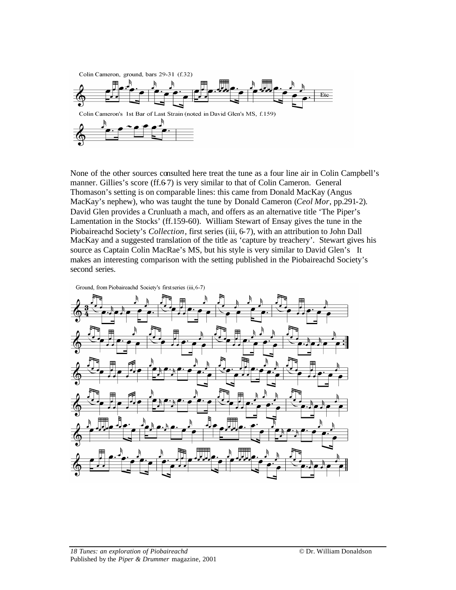

None of the other sources consulted here treat the tune as a four line air in Colin Campbell's manner. Gillies's score (ff.6-7) is very similar to that of Colin Cameron. General Thomason's setting is on comparable lines: this came from Donald MacKay (Angus MacKay's nephew), who was taught the tune by Donald Cameron (*Ceol Mor*, pp.291-2). David Glen provides a Crunluath a mach, and offers as an alternative title 'The Piper's Lamentation in the Stocks' (ff.159-60). William Stewart of Ensay gives the tune in the Piobaireachd Society's *Collection*, first series (iii, 6-7), with an attribution to John Dall MacKay and a suggested translation of the title as 'capture by treachery'. Stewart gives his source as Captain Colin MacRae's MS, but his style is very similar to David Glen's It makes an interesting comparison with the setting published in the Piobaireachd Society's second series.

Ground, from Piobaireachd Society's first series (iii, 6-7)